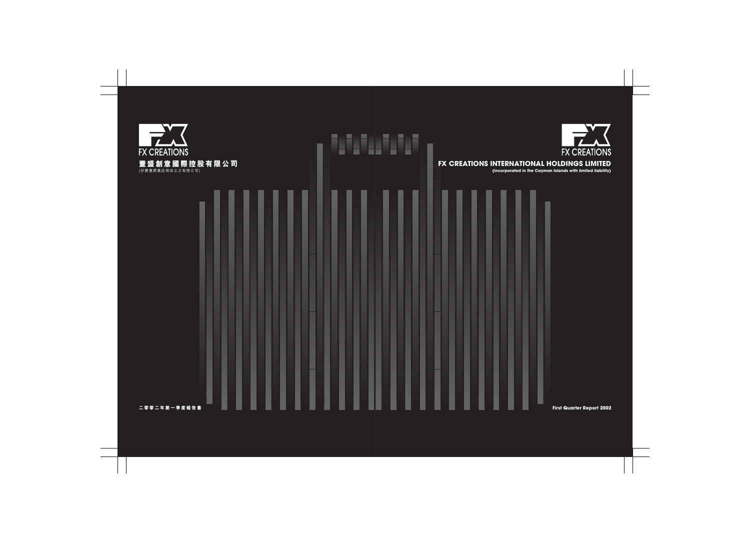

# FX CREATIONS INTERNATIONAL HOLDINGS LIMITED

(incorporated in the Cayman Islands with limited liability)



First Quarter Report 2002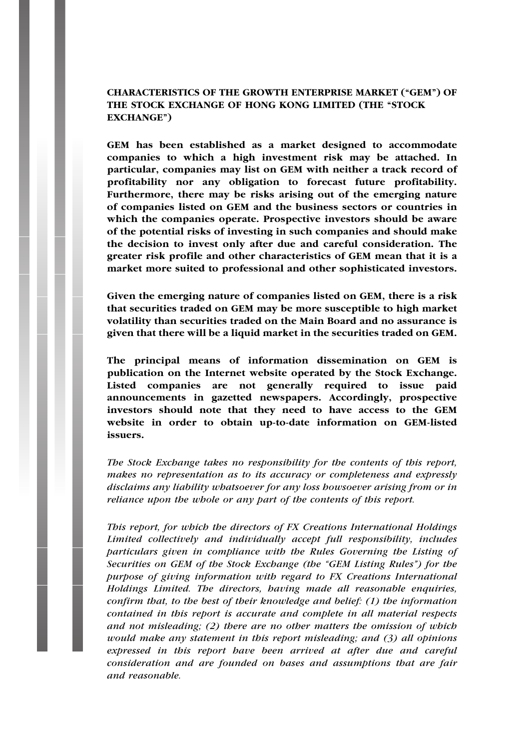## CHARACTERISTICS OF THE GROWTH ENTERPRISE MARKET (''GEM'') OF THE STOCK EXCHANGE OF HONG KONG LIMITED (THE "STOCK EXCHANGE'')

GEM has been established as a market designed to accommodate companies to which a high investment risk may be attached. In particular, companies may list on GEM with neither a track record of profitability nor any obligation to forecast future profitability. Furthermore, there may be risks arising out of the emerging nature of companies listed on GEM and the business sectors or countries in which the companies operate. Prospective investors should be aware of the potential risks of investing in such companies and should make the decision to invest only after due and careful consideration. The greater risk profile and other characteristics of GEM mean that it is a market more suited to professional and other sophisticated investors.

Given the emerging nature of companies listed on GEM, there is a risk that securities traded on GEM may be more susceptible to high market volatility than securities traded on the Main Board and no assurance is given that there will be a liquid market in the securities traded on GEM.

The principal means of information dissemination on GEM is publication on the Internet website operated by the Stock Exchange. Listed companies are not generally required to issue paid announcements in gazetted newspapers. Accordingly, prospective investors should note that they need to have access to the GEM website in order to obtain up-to-date information on GEM-listed issuers.

The Stock Exchange takes no responsibility for the contents of this report, makes no representation as to its accuracy or completeness and expressly disclaims any liability whatsoever for any loss howsoever arising from or in reliance upon the whole or any part of the contents of this report.

This report, for which the directors of FX Creations International Holdings Limited collectively and individually accept full responsibility, includes particulars given in compliance with the Rules Governing the Listing of Securities on GEM of the Stock Exchange (the "GEM Listing Rules") for the purpose of giving information with regard to FX Creations International Holdings Limited. The directors, having made all reasonable enquiries, confirm that, to the best of their knowledge and belief: (1) the information contained in this report is accurate and complete in all material respects and not misleading;  $(2)$  there are no other matters the omission of which would make any statement in this report misleading; and (3) all opinions expressed in this report have been arrived at after due and careful consideration and are founded on bases and assumptions that are fair and reasonable.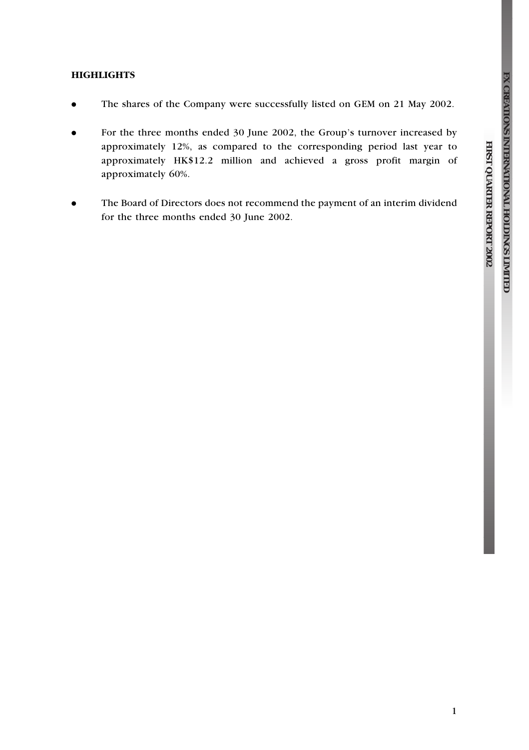**QUARTER**

 **REPORT**

 **2002**

## **HIGHLIGHTS**

- . The shares of the Company were successfully listed on GEM on 21 May 2002.
- . For the three months ended 30 June 2002, the Group's turnover increased by approximately 12%, as compared to the corresponding period last year to approximately HK\$12.2 million and achieved a gross profit margin of approximately 60%.
- . The Board of Directors does not recommend the payment of an interim dividend for the three months ended 30 June 2002.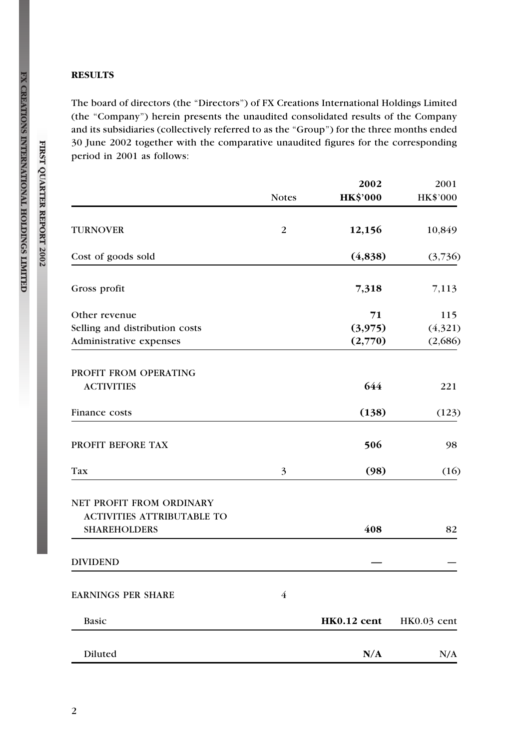## **RESULTS**

The board of directors (the "Directors") of FX Creations International Holdings Limited (the ''Company'') herein presents the unaudited consolidated results of the Company and its subsidiaries (collectively referred to as the "Group") for the three months ended 30 June 2002 together with the comparative unaudited figures for the corresponding period in 2001 as follows:

|                                                                                      |                | 2002                     | 2001                      |
|--------------------------------------------------------------------------------------|----------------|--------------------------|---------------------------|
|                                                                                      | <b>Notes</b>   | <b>HK\$'000</b>          | HK\$'000                  |
| <b>TURNOVER</b>                                                                      | 2              | 12,156                   | 10,849                    |
| Cost of goods sold                                                                   |                | (4,838)                  | (3,736)                   |
| Gross profit                                                                         |                | 7,318                    | 7,113                     |
| Other revenue<br>Selling and distribution costs<br>Administrative expenses           |                | 71<br>(3,975)<br>(2,770) | 115<br>(4,321)<br>(2,686) |
| PROFIT FROM OPERATING<br><b>ACTIVITIES</b>                                           |                | 644                      | 221                       |
| Finance costs                                                                        |                | (138)                    | (123)                     |
| PROFIT BEFORE TAX                                                                    |                | 506                      | 98                        |
| Tax                                                                                  | 3              | (98)                     | (16)                      |
| NET PROFIT FROM ORDINARY<br><b>ACTIVITIES ATTRIBUTABLE TO</b><br><b>SHAREHOLDERS</b> |                | 408                      | 82                        |
| DIVIDEND                                                                             |                |                          |                           |
| <b>EARNINGS PER SHARE</b>                                                            | $\overline{4}$ |                          |                           |
| Basic                                                                                |                | HK0.12 cent              | HK0.03 cent               |
| Diluted                                                                              |                | N/A                      | N/A                       |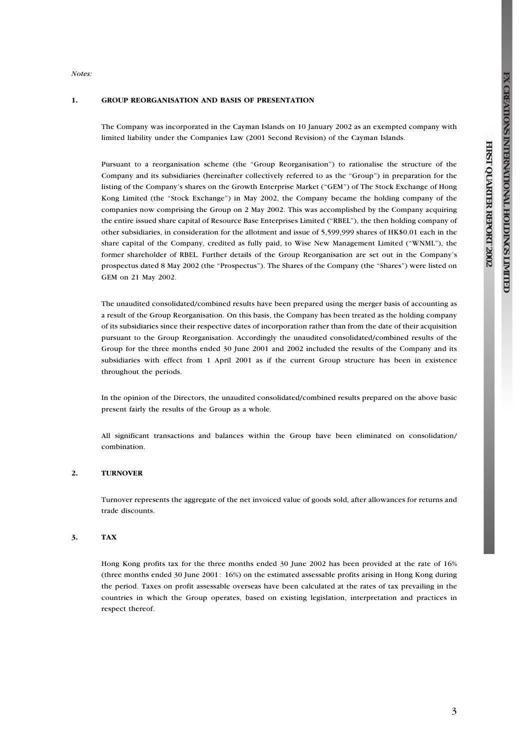**QUARTER**

 **REPORT**

 **2002**

Notes:

#### 1. GROUP REORGANISATION AND BASIS OF PRESENTATION

The Company was incorporated in the Cayman Islands on 10 January 2002 as an exempted company with limited liability under the Companies Law (2001 Second Revision) of the Cayman Islands.

Pursuant to a reorganisation scheme (the ''Group Reorganisation'') to rationalise the structure of the Company and its subsidiaries (hereinafter collectively referred to as the "Group") in preparation for the listing of the Company's shares on the Growth Enterprise Market (''GEM'') of The Stock Exchange of Hong Kong Limited (the "Stock Exchange") in May 2002, the Company became the holding company of the companies now comprising the Group on 2 May 2002. This was accomplished by the Company acquiring the entire issued share capital of Resource Base Enterprises Limited (''RBEL''), the then holding company of other subsidiaries, in consideration for the allotment and issue of 5,599,999 shares of HK\$0.01 each in the share capital of the Company, credited as fully paid, to Wise New Management Limited (''WNML''), the former shareholder of RBEL. Further details of the Group Reorganisation are set out in the Company's prospectus dated 8 May 2002 (the "Prospectus"). The Shares of the Company (the "Shares") were listed on GEM on 21 May 2002.

The unaudited consolidated/combined results have been prepared using the merger basis of accounting as a result of the Group Reorganisation. On this basis, the Company has been treated as the holding company of its subsidiaries since their respective dates of incorporation rather than from the date of their acquisition pursuant to the Group Reorganisation. Accordingly the unaudited consolidated/combined results of the Group for the three months ended 30 June 2001 and 2002 included the results of the Company and its subsidiaries with effect from 1 April 2001 as if the current Group structure has been in existence throughout the periods.

In the opinion of the Directors, the unaudited consolidated/combined results prepared on the above basic present fairly the results of the Group as a whole.

All significant transactions and balances within the Group have been eliminated on consolidation/ combination.

#### 2. TURNOVER

Turnover represents the aggregate of the net invoiced value of goods sold, after allowances for returns and trade discounts.

#### 3. TAX

Hong Kong profits tax for the three months ended 30 June 2002 has been provided at the rate of 16% (three months ended 30 June 2001: 16%) on the estimated assessable profits arising in Hong Kong during the period. Taxes on profit assessable overseas have been calculated at the rates of tax prevailing in the countries in which the Group operates, based on existing legislation, interpretation and practices in respect thereof.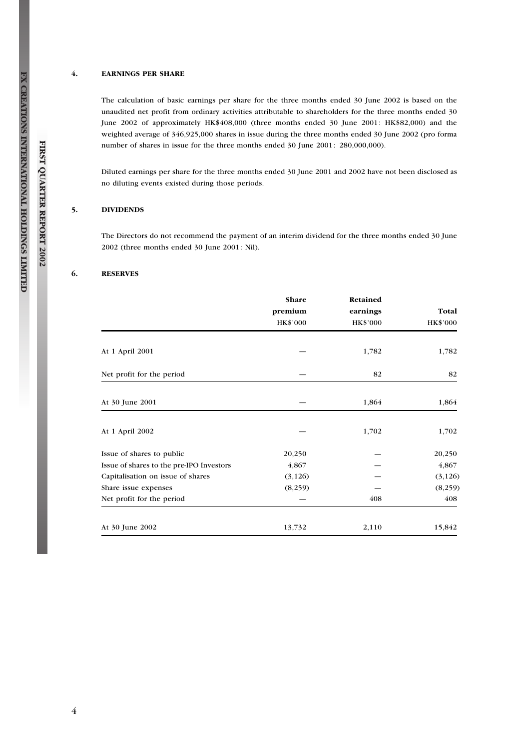#### 4. EARNINGS PER SHARE

The calculation of basic earnings per share for the three months ended 30 June 2002 is based on the unaudited net profit from ordinary activities attributable to shareholders for the three months ended 30 June 2002 of approximately HK\$408,000 (three months ended 30 June 2001: HK\$82,000) and the weighted average of 346,925,000 shares in issue during the three months ended 30 June 2002 (pro forma number of shares in issue for the three months ended 30 June 2001: 280,000,000).

Diluted earnings per share for the three months ended 30 June 2001 and 2002 have not been disclosed as no diluting events existed during those periods.

#### 5. DIVIDENDS

The Directors do not recommend the payment of an interim dividend for the three months ended 30 June 2002 (three months ended 30 June 2001: Nil).

#### 6. RESERVES

|                                          | Share<br>premium<br>HK\$'000 | Retained<br>earnings<br><b>HK\$'000</b> | Total<br><b>HK\$'000</b> |
|------------------------------------------|------------------------------|-----------------------------------------|--------------------------|
|                                          |                              |                                         |                          |
| At 1 April 2001                          |                              | 1,782                                   | 1,782                    |
| Net profit for the period                |                              | 82                                      | 82                       |
| At 30 June 2001                          |                              | 1,864                                   | 1,864                    |
|                                          |                              |                                         |                          |
| At 1 April 2002                          |                              | 1,702                                   | 1,702                    |
| Issue of shares to public                | 20,250                       |                                         | 20,250                   |
| Issue of shares to the pre-IPO Investors | 4,867                        |                                         | 4,867                    |
| Capitalisation on issue of shares        | (3, 126)                     |                                         | (3, 126)                 |
| Share issue expenses                     | (8,259)                      |                                         | (8,259)                  |
| Net profit for the period                |                              | 408                                     | 408                      |
| At 30 June 2002                          | 13,732                       | 2,110                                   | 15,842                   |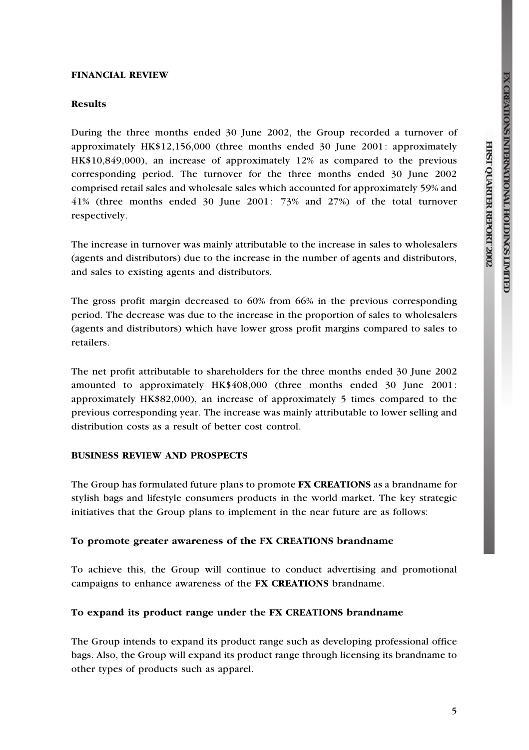**QUARTER**

 **REPORT**

 **2002**

## FINANCIAL REVIEW

## Results

During the three months ended 30 June 2002, the Group recorded a turnover of approximately HK\$12,156,000 (three months ended 30 June 2001: approximately HK\$10,849,000), an increase of approximately 12% as compared to the previous corresponding period. The turnover for the three months ended 30 June 2002 comprised retail sales and wholesale sales which accounted for approximately 59% and 41% (three months ended 30 June 2001: 73% and 27%) of the total turnover respectively.

The increase in turnover was mainly attributable to the increase in sales to wholesalers (agents and distributors) due to the increase in the number of agents and distributors, and sales to existing agents and distributors.

The gross profit margin decreased to 60% from 66% in the previous corresponding period. The decrease was due to the increase in the proportion of sales to wholesalers (agents and distributors) which have lower gross profit margins compared to sales to retailers.

The net profit attributable to shareholders for the three months ended 30 June 2002 amounted to approximately HK\$408,000 (three months ended 30 June 2001: approximately HK\$82,000), an increase of approximately 5 times compared to the previous corresponding year. The increase was mainly attributable to lower selling and distribution costs as a result of better cost control.

## BUSINESS REVIEW AND PROSPECTS

The Group has formulated future plans to promote FX CREATIONS as a brandname for stylish bags and lifestyle consumers products in the world market. The key strategic initiatives that the Group plans to implement in the near future are as follows:

#### To promote greater awareness of the FX CREATIONS brandname

To achieve this, the Group will continue to conduct advertising and promotional campaigns to enhance awareness of the FX CREATIONS brandname.

#### To expand its product range under the FX CREATIONS brandname

The Group intends to expand its product range such as developing professional office bags. Also, the Group will expand its product range through licensing its brandname to other types of products such as apparel.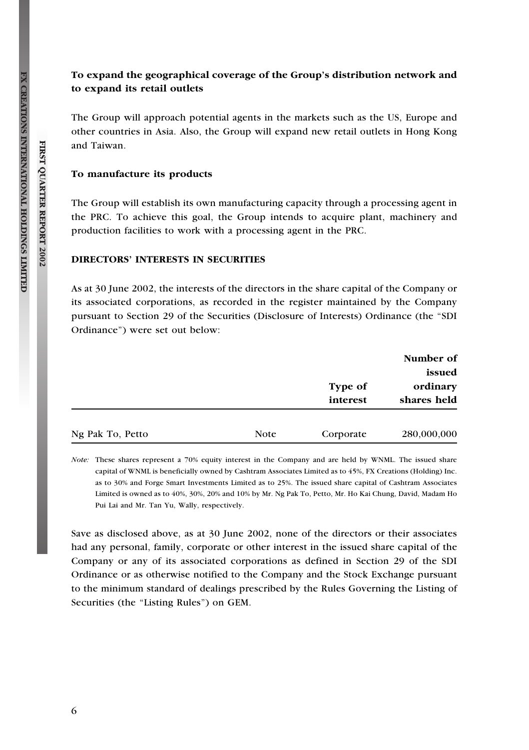# To expand the geographical coverage of the Group's distribution network and to expand its retail outlets

The Group will approach potential agents in the markets such as the US, Europe and other countries in Asia. Also, the Group will expand new retail outlets in Hong Kong and Taiwan.

## To manufacture its products

The Group will establish its own manufacturing capacity through a processing agent in the PRC. To achieve this goal, the Group intends to acquire plant, machinery and production facilities to work with a processing agent in the PRC.

# DIRECTORS' INTERESTS IN SECURITIES

As at 30 June 2002, the interests of the directors in the share capital of the Company or its associated corporations, as recorded in the register maintained by the Company pursuant to Section 29 of the Securities (Disclosure of Interests) Ordinance (the ''SDI Ordinance'') were set out below:

|                  |      |                     | Number of<br>issued     |  |
|------------------|------|---------------------|-------------------------|--|
|                  |      | Type of<br>interest | ordinary<br>shares held |  |
| Ng Pak To, Petto | Note | Corporate           | 280,000,000             |  |

Note: These shares represent a 70% equity interest in the Company and are held by WNML. The issued share capital of WNML is beneficially owned by Cashtram Associates Limited as to 45%, FX Creations (Holding) Inc. as to 30% and Forge Smart Investments Limited as to 25%. The issued share capital of Cashtram Associates Limited is owned as to 40%, 30%, 20% and 10% by Mr. Ng Pak To, Petto, Mr. Ho Kai Chung, David, Madam Ho Pui Lai and Mr. Tan Yu, Wally, respectively.

Save as disclosed above, as at 30 June 2002, none of the directors or their associates had any personal, family, corporate or other interest in the issued share capital of the Company or any of its associated corporations as defined in Section 29 of the SDI Ordinance or as otherwise notified to the Company and the Stock Exchange pursuant to the minimum standard of dealings prescribed by the Rules Governing the Listing of Securities (the "Listing Rules") on GEM.

FIRST QUARTER REPORT 2002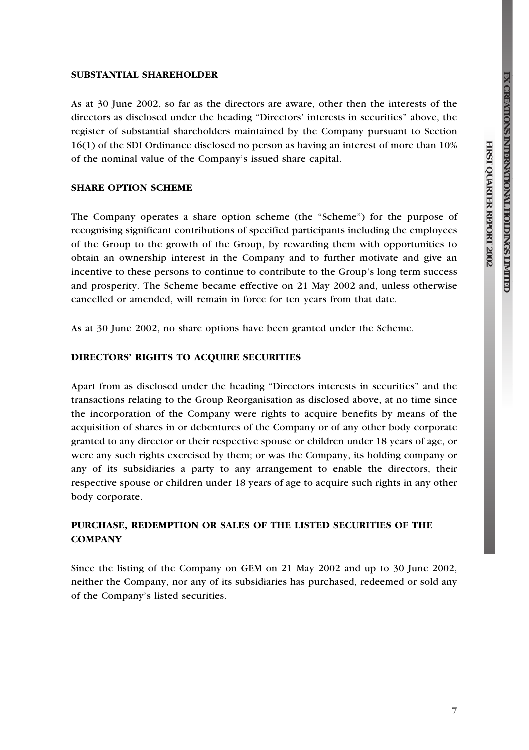**QUARTER**

 **REPORT**

 **2002**

## SUBSTANTIAL SHAREHOLDER

As at 30 June 2002, so far as the directors are aware, other then the interests of the directors as disclosed under the heading ''Directors' interests in securities'' above, the register of substantial shareholders maintained by the Company pursuant to Section 16(1) of the SDI Ordinance disclosed no person as having an interest of more than 10% of the nominal value of the Company's issued share capital.

## SHARE OPTION SCHEME

The Company operates a share option scheme (the "Scheme") for the purpose of recognising significant contributions of specified participants including the employees of the Group to the growth of the Group, by rewarding them with opportunities to obtain an ownership interest in the Company and to further motivate and give an incentive to these persons to continue to contribute to the Group's long term success and prosperity. The Scheme became effective on 21 May 2002 and, unless otherwise cancelled or amended, will remain in force for ten years from that date.

As at 30 June 2002, no share options have been granted under the Scheme.

## DIRECTORS' RIGHTS TO ACQUIRE SECURITIES

Apart from as disclosed under the heading ''Directors interests in securities'' and the transactions relating to the Group Reorganisation as disclosed above, at no time since the incorporation of the Company were rights to acquire benefits by means of the acquisition of shares in or debentures of the Company or of any other body corporate granted to any director or their respective spouse or children under 18 years of age, or were any such rights exercised by them; or was the Company, its holding company or any of its subsidiaries a party to any arrangement to enable the directors, their respective spouse or children under 18 years of age to acquire such rights in any other body corporate.

# PURCHASE, REDEMPTION OR SALES OF THE LISTED SECURITIES OF THE **COMPANY**

Since the listing of the Company on GEM on 21 May 2002 and up to 30 June 2002, neither the Company, nor any of its subsidiaries has purchased, redeemed or sold any of the Company's listed securities.